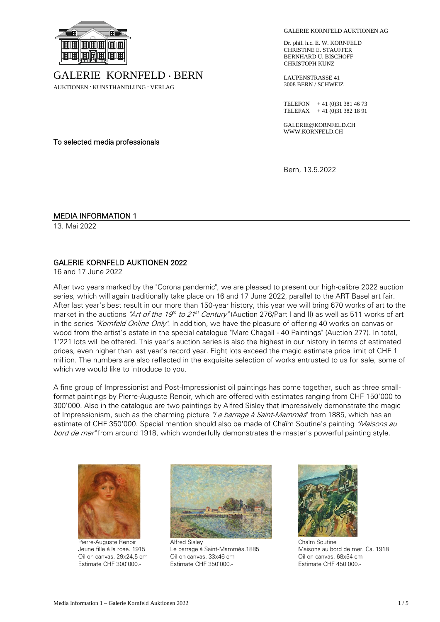

GALERIE KORNFELD . BERN

AUKTIONEN . KUNSTHANDLUNG . VERLAG

GALERIE KORNFELD AUKTIONEN AG

Dr. phil. h.c. E. W. KORNFELD CHRISTINE E. STAUFFER BERNHARD U. BISCHOFF CHRISTOPH KUNZ

LAUPENSTRASSE 41 3008 BERN / SCHWEIZ

TELEFON + 41 (0)31 381 46 73 TELEFAX +41 (0)31 382 18 91

GALERIE@KORNFELD.CH WWW.KORNFELD.CH

Bern, 13.5.2022

To selected media professionals

# MEDIA INFORMATION 1

13. Mai 2022

# GALERIE KORNFELD AUKTIONEN 2022

16 and 17 June 2022

After two years marked by the "Corona pandemic", we are pleased to present our high-calibre 2022 auction series, which will again traditionally take place on 16 and 17 June 2022, parallel to the ART Basel art fair. After last year's best result in our more than 150-year history, this year we will bring 670 works of art to the market in the auctions *"Art of the 19<sup>th</sup> to 21<sup>st</sup> Century"* (Auction 276/Part I and II) as well as 511 works of art in the series "Kornfeld Online Only". In addition, we have the pleasure of offering 40 works on canvas or wood from the artist's estate in the special catalogue "Marc Chagall - 40 Paintings" (Auction 277). In total, 1'221 lots will be offered. This year's auction series is also the highest in our history in terms of estimated prices, even higher than last year's record year. Eight lots exceed the magic estimate price limit of CHF 1 million. The numbers are also reflected in the exquisite selection of works entrusted to us for sale, some of which we would like to introduce to you.

A fine group of Impressionist and Post-Impressionist oil paintings has come together, such as three smallformat paintings by Pierre-Auguste Renoir, which are offered with estimates ranging from CHF 150'000 to 300'000. Also in the catalogue are two paintings by Alfred Sisley that impressively demonstrate the magic of Impressionism, such as the charming picture "Le barrage à Saint-Mammès" from 1885, which has an estimate of CHF 350'000. Special mention should also be made of Chaïm Soutine's painting "Maisons au bord de mer" from around 1918, which wonderfully demonstrates the master's powerful painting style.



Pierre-Auguste Renoir Jeune fille à la rose. 1915 Oil on canvas. 29x24,5 cm Estimate CHF 300'000.-



Alfred Sisley Le barrage à Saint-Mammès.1885 Oil on canvas. 33x46 cm Estimate CHF 350'000.-



Chaïm Soutine Maisons au bord de mer. Ca. 1918 Oil on canvas. 68x54 cm Estimate CHF 450'000.-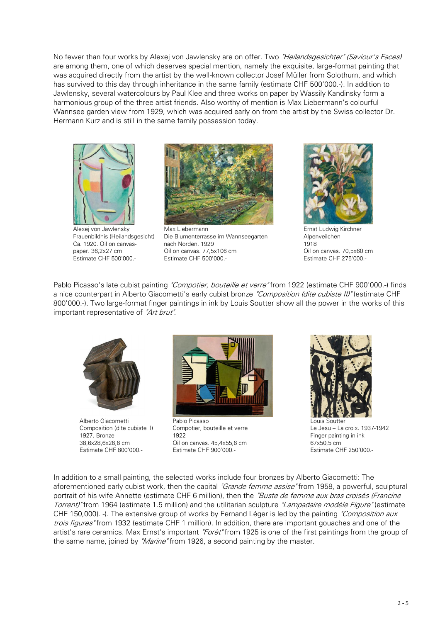No fewer than four works by Alexej von Jawlensky are on offer. Two "Heilandsgesichter" (Saviour's Faces) are among them, one of which deserves special mention, namely the exquisite, large-format painting that was acquired directly from the artist by the well-known collector Josef Müller from Solothurn, and which has survived to this day through inheritance in the same family (estimate CHF 500'000.-). In addition to Jawlensky, several watercolours by Paul Klee and three works on paper by Wassily Kandinsky form a harmonious group of the three artist friends. Also worthy of mention is Max Liebermann's colourful Wannsee garden view from 1929, which was acquired early on from the artist by the Swiss collector Dr. Hermann Kurz and is still in the same family possession today.



Alexej von Jawlensky Frauenbildnis (Heilandsgesicht) Ca. 1920. Oil on canvaspaper. 36,2x27 cm Estimate CHF 500'000.-



Max Liebermann Die Blumenterrasse im Wannseegarten nach Norden. 1929 Oil on canvas. 77,5x106 cm Estimate CHF 500'000.-



Ernst Ludwig Kirchner Alpenveilchen 1918 Oil on canvas. 70,5x60 cm Estimate CHF 275'000.-

Pablo Picasso's late cubist painting "Compotier, bouteille et verre" from 1922 (estimate CHF 900'000.-) finds a nice counterpart in Alberto Giacometti's early cubist bronze "Composition (dite cubiste II)" (estimate CHF 800'000.-). Two large-format finger paintings in ink by Louis Soutter show all the power in the works of this important representative of "Art brut".



Alberto Giacometti Composition (dite cubiste II) 1927. Bronze 38,6x28,6x26,6 cm Estimate CHF 800'000.-



Pablo Picasso Compotier, bouteille et verre 1922 Oil on canvas. 45,4x55,6 cm Estimate CHF 900'000.-



Louis Soutter Le Jesu – La croix. 1937-1942 Finger painting in ink 67x50,5 cm Estimate CHF 250'000.-

In addition to a small painting, the selected works include four bronzes by Alberto Giacometti: The aforementioned early cubist work, then the capital "Grande femme assise" from 1958, a powerful, sculptural portrait of his wife Annette (estimate CHF 6 million), then the "Buste de femme aux bras croisés (Francine Torrent)" from 1964 (estimate 1.5 million) and the utilitarian sculpture "Lampadaire modèle Figure" (estimate CHF 150,000). -). The extensive group of works by Fernand Léger is led by the painting "Composition aux" trois figures" from 1932 (estimate CHF 1 million). In addition, there are important gouaches and one of the artist's rare ceramics. Max Ernst's important "Forêt" from 1925 is one of the first paintings from the group of the same name, joined by "*Marine*" from 1926, a second painting by the master.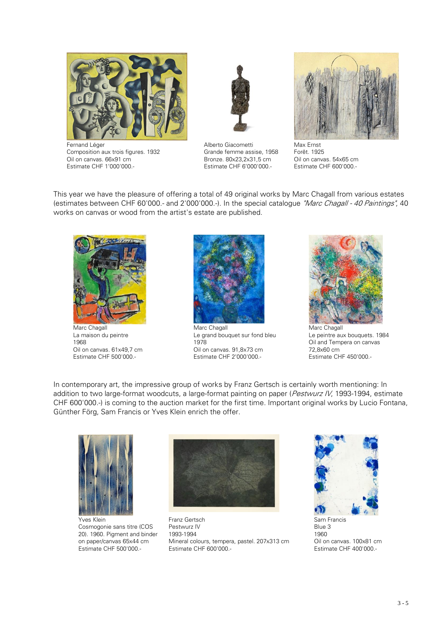

Fernand Léger Composition aux trois figures. 1932 Oil on canvas. 66x91 cm Estimate CHF 1'000'000.-



Alberto Giacometti Grande femme assise, 1958 Bronze. 80x23,2x31,5 cm Estimate CHF 6'000'000.-



Max Ernst Forêt. 1925 Oil on canvas. 54x65 cm Estimate CHF 600'000.-

This year we have the pleasure of offering a total of 49 original works by Marc Chagall from various estates (estimates between CHF 60'000.- and 2'000'000.-). In the special catalogue "Marc Chagall - 40 Paintings", 40 works on canvas or wood from the artist's estate are published.



Marc Chagall La maison du peintre 1968 Oil on canvas. 61x49,7 cm Estimate CHF 500'000.-



Marc Chagall Le grand bouquet sur fond bleu 1978 Oil on canvas. 91,8x73 cm Estimate CHF 2'000'000.-



Marc Chagall Le peintre aux bouquets. 1984 Oil and Tempera on canvas 72,8x60 cm Estimate CHF 450'000.-

In contemporary art, the impressive group of works by Franz Gertsch is certainly worth mentioning: In addition to two large-format woodcuts, a large-format painting on paper (Pestwurz IV, 1993-1994, estimate CHF 600'000.-) is coming to the auction market for the first time. Important original works by Lucio Fontana, Günther Förg, Sam Francis or Yves Klein enrich the offer.



Yves Klein Cosmogonie sans titre (COS 20). 1960. Pigment and binder on paper/canvas 65x44 cm Estimate CHF 500'000.-



Franz Gertsch Pestwurz IV 1993-1994 Mineral colours, tempera, pastel. 207x313 cm Estimate CHF 600'000.-



Blue 3 1960 Oil on canvas. 100x81 cm Estimate CHF 400'000.-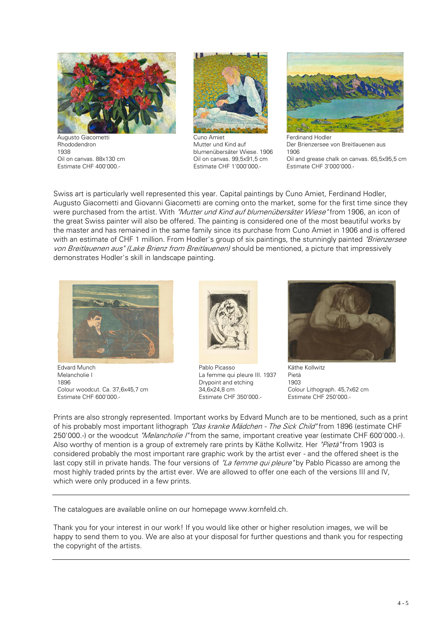

Augusto Giacometti Rhododendron 1938 Oil on canvas. 88x130 cm Estimate CHF 400'000.-



Cuno Amiet Mutter und Kind auf blumenübersäter Wiese. 1906 Oil on canvas. 99,5x91,5 cm Estimate CHF 1'000'000.-



Ferdinand Hodler Der Brienzersee von Breitlauenen aus 1906 Oil and grease chalk on canvas. 65,5x95,5 cm Estimate CHF 3'000'000.-

Swiss art is particularly well represented this year. Capital paintings by Cuno Amiet, Ferdinand Hodler, Augusto Giacometti and Giovanni Giacometti are coming onto the market, some for the first time since they were purchased from the artist. With "Mutter und Kind auf blumenübersäter Wiese" from 1906, an icon of the great Swiss painter will also be offered. The painting is considered one of the most beautiful works by the master and has remained in the same family since its purchase from Cuno Amiet in 1906 and is offered with an estimate of CHF 1 million. From Hodler's group of six paintings, the stunningly painted "Brienzersee" von Breitlauenen aus" (Lake Brienz from Breitlauenen) should be mentioned, a picture that impressively demonstrates Hodler's skill in landscape painting.



Edvard Munch Melancholie I 1896 Colour woodcut. Ca. 37,6x45,7 cm Estimate CHF 600'000.-



Pablo Picasso La femme qui pleure III. 1937 Drypoint and etching 34,6x24,8 cm Estimate CHF 350'000.-



Käthe Kollwitz Pietà 1903 Colour Lithograph. 45,7x62 cm Estimate CHF 250'000.-

Prints are also strongly represented. Important works by Edvard Munch are to be mentioned, such as a print of his probably most important lithograph "Das kranke Mädchen - The Sick Child" from 1896 (estimate CHF 250'000.-) or the woodcut "Melancholie I" from the same, important creative year (estimate CHF 600'000.-). Also worthy of mention is a group of extremely rare prints by Käthe Kollwitz. Her "Pietà" from 1903 is considered probably the most important rare graphic work by the artist ever - and the offered sheet is the last copy still in private hands. The four versions of "La femme qui pleure" by Pablo Picasso are among the most highly traded prints by the artist ever. We are allowed to offer one each of the versions III and IV, which were only produced in a few prints.

The catalogues are available online on our homepage www.kornfeld.ch.

Thank you for your interest in our work! If you would like other or higher resolution images, we will be happy to send them to you. We are also at your disposal for further questions and thank you for respecting the copyright of the artists.